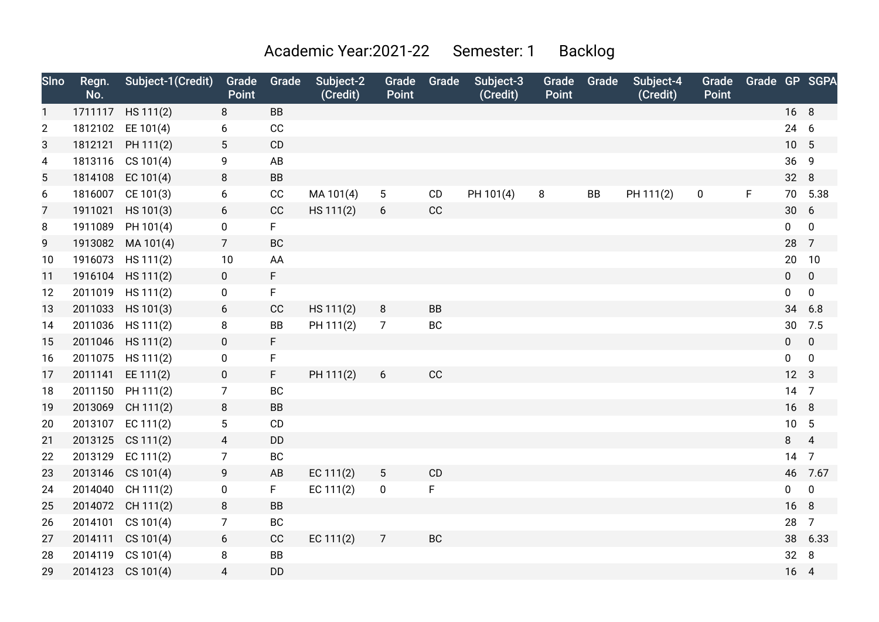## Academic Year:2021-22 Semester: 1 Backlog

| Sino           | Regn.<br>No. | Subject-1(Credit) | Grade<br><b>Point</b> | Grade     | Subject-2<br>(Credit) | Grade<br>Point  | Grade     | Subject-3<br>(Credit) | Grade<br><b>Point</b> | Grade | Subject-4<br>(Credit) | Grade<br>Point | Grade GP SGPA |                 |                |
|----------------|--------------|-------------------|-----------------------|-----------|-----------------------|-----------------|-----------|-----------------------|-----------------------|-------|-----------------------|----------------|---------------|-----------------|----------------|
| $\mathbf{1}$   |              | 1711117 HS 111(2) | 8                     | <b>BB</b> |                       |                 |           |                       |                       |       |                       |                |               | 16 8            |                |
| $\overline{2}$ |              | 1812102 EE 101(4) | 6                     | CC        |                       |                 |           |                       |                       |       |                       |                |               | 24 6            |                |
| 3              |              | 1812121 PH 111(2) | 5                     | CD        |                       |                 |           |                       |                       |       |                       |                |               | 10              | $5\phantom{1}$ |
| 4              | 1813116      | CS 101(4)         | 9                     | AB        |                       |                 |           |                       |                       |       |                       |                |               | 36 9            |                |
| 5              | 1814108      | EC $101(4)$       | 8                     | BB        |                       |                 |           |                       |                       |       |                       |                |               | 32 8            |                |
| 6              | 1816007      | CE 101(3)         | 6                     | CC        | MA 101(4)             | $5\phantom{.0}$ | CD        | PH 101(4)             | 8                     | BB    | PH 111(2)             | $\pmb{0}$      | F             | 70              | 5.38           |
| 7              | 1911021      | HS 101(3)         | 6                     | CC        | HS 111(2)             | 6               | CC        |                       |                       |       |                       |                |               | 30 6            |                |
| 8              | 1911089      | PH 101(4)         | $\pmb{0}$             | F.        |                       |                 |           |                       |                       |       |                       |                |               | $\overline{0}$  | $\mathbf 0$    |
| 9              | 1913082      | MA 101(4)         | $\overline{7}$        | <b>BC</b> |                       |                 |           |                       |                       |       |                       |                |               | 28 7            |                |
| 10             | 1916073      | HS 111(2)         | 10                    | AA        |                       |                 |           |                       |                       |       |                       |                |               | 20              | 10             |
| 11             | 1916104      | HS 111(2)         | $\mathbf 0$           | F         |                       |                 |           |                       |                       |       |                       |                |               | $\mathbf 0$     | $\mathbf 0$    |
| 12             |              | 2011019 HS 111(2) | $\pmb{0}$             | F         |                       |                 |           |                       |                       |       |                       |                |               | $\mathbf 0$     | 0              |
| 13             | 2011033      | HS 101(3)         | 6                     | CC        | HS 111(2)             | 8               | <b>BB</b> |                       |                       |       |                       |                |               | 34              | 6.8            |
| 14             |              | 2011036 HS 111(2) | 8                     | BB        | PH 111(2)             | $\overline{7}$  | BC        |                       |                       |       |                       |                |               | 30              | 7.5            |
| 15             |              | 2011046 HS 111(2) | $\mathbf 0$           | F         |                       |                 |           |                       |                       |       |                       |                |               | $\mathbf{0}$    | $\mathbf 0$    |
| 16             |              | 2011075 HS 111(2) | $\mathbf 0$           | F         |                       |                 |           |                       |                       |       |                       |                |               | $\overline{0}$  | $\mathbf 0$    |
| 17             |              | 2011141 EE 111(2) | $\mathbf 0$           | F.        | PH 111(2)             | 6               | CC        |                       |                       |       |                       |                |               | 12              | 3              |
| 18             | 2011150      | PH 111(2)         | $\overline{7}$        | BC        |                       |                 |           |                       |                       |       |                       |                |               | 14 7            |                |
| 19             |              | 2013069 CH 111(2) | 8                     | <b>BB</b> |                       |                 |           |                       |                       |       |                       |                |               | 16 8            |                |
| 20             |              | 2013107 EC 111(2) | 5                     | CD        |                       |                 |           |                       |                       |       |                       |                |               | 10 <sup>1</sup> | 5              |
| 21             |              | 2013125 CS 111(2) | $\overline{4}$        | DD        |                       |                 |           |                       |                       |       |                       |                |               | 8               | $\overline{4}$ |
| 22             |              | 2013129 EC 111(2) | $\boldsymbol{7}$      | BC        |                       |                 |           |                       |                       |       |                       |                |               | 14              | $\overline{7}$ |
| 23             | 2013146      | CS 101(4)         | 9                     | AB        | EC 111(2)             | $\sqrt{5}$      | CD        |                       |                       |       |                       |                |               | 46              | 7.67           |
| 24             | 2014040      | CH 111(2)         | 0                     | F.        | EC $111(2)$           | $\mathbf 0$     | F         |                       |                       |       |                       |                |               | 0               | $\mathbf 0$    |
| 25             | 2014072      | CH 111(2)         | 8                     | <b>BB</b> |                       |                 |           |                       |                       |       |                       |                |               | 16              | 8              |
| 26             | 2014101      | CS 101(4)         | $\overline{7}$        | BC        |                       |                 |           |                       |                       |       |                       |                |               | 28              | $\overline{7}$ |
| 27             | 2014111      | CS 101(4)         | 6                     | CC        | EC 111(2)             | $\overline{7}$  | BC        |                       |                       |       |                       |                |               | 38              | 6.33           |
| 28             | 2014119      | CS 101(4)         | 8                     | BB        |                       |                 |           |                       |                       |       |                       |                |               | 32              | 8              |
| 29             | 2014123      | CS 101(4)         | $\overline{4}$        | <b>DD</b> |                       |                 |           |                       |                       |       |                       |                |               | 16              | $\overline{4}$ |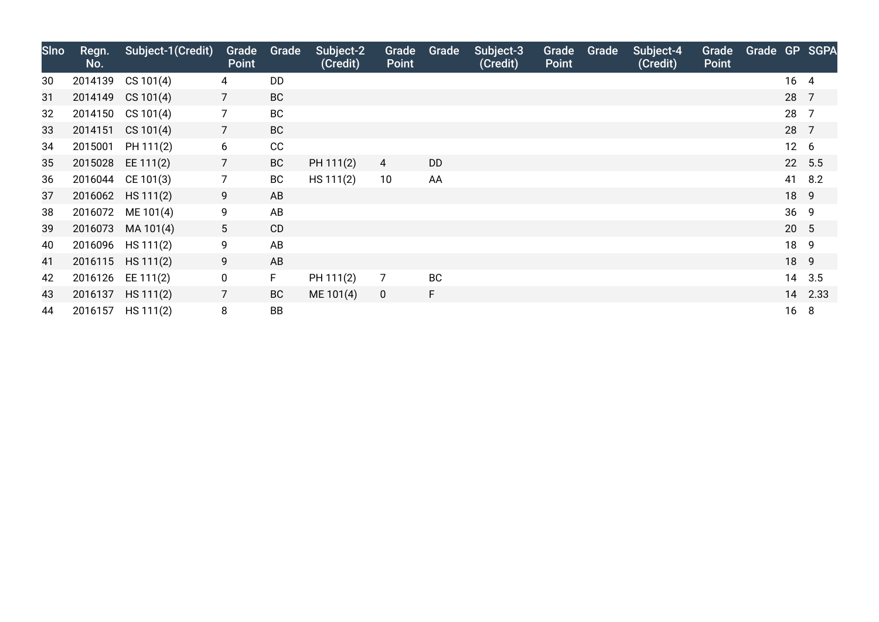| <b>SIno</b> | Regn.<br>No. | Subject-1(Credit) | <b>Point</b>   | Grade Grade | Subject-2<br>(Credit) | Grade<br><b>Point</b> | Grade     | Subject-3<br>(Credit) | Grade<br><b>Point</b> | Grade | Subject-4<br>(Credit) | Grade<br><b>Point</b> | Grade GP SGPA |                 |         |
|-------------|--------------|-------------------|----------------|-------------|-----------------------|-----------------------|-----------|-----------------------|-----------------------|-------|-----------------------|-----------------------|---------------|-----------------|---------|
| 30          | 2014139      | CS 101(4)         | 4              | <b>DD</b>   |                       |                       |           |                       |                       |       |                       |                       |               | 16 4            |         |
| 31          |              | 2014149 CS 101(4) | $\overline{7}$ | <b>BC</b>   |                       |                       |           |                       |                       |       |                       |                       |               | 28 7            |         |
| 32          |              | 2014150 CS 101(4) | $\overline{7}$ | BC          |                       |                       |           |                       |                       |       |                       |                       |               | 28              | 7       |
| 33          |              | 2014151 CS 101(4) | $\overline{7}$ | <b>BC</b>   |                       |                       |           |                       |                       |       |                       |                       |               | 28 7            |         |
| 34          | 2015001      | PH 111(2)         | 6              | CC          |                       |                       |           |                       |                       |       |                       |                       |               | 12 <sub>6</sub> |         |
| 35          | 2015028      | EE 111(2)         | $\overline{7}$ | <b>BC</b>   | PH 111(2)             | 4                     | <b>DD</b> |                       |                       |       |                       |                       |               |                 | 22 5.5  |
| 36          |              | 2016044 CE 101(3) | $\overline{7}$ | BC          | HS 111(2)             | 10                    | AA        |                       |                       |       |                       |                       |               |                 | 41 8.2  |
| 37          |              | 2016062 HS 111(2) | 9              | AB          |                       |                       |           |                       |                       |       |                       |                       |               | 18 9            |         |
| 38          |              | 2016072 ME 101(4) | 9              | AB          |                       |                       |           |                       |                       |       |                       |                       |               | 36 9            |         |
| 39          |              | 2016073 MA 101(4) | 5 <sup>5</sup> | CD          |                       |                       |           |                       |                       |       |                       |                       |               | 20 5            |         |
| 40          |              | 2016096 HS 111(2) | 9              | AB          |                       |                       |           |                       |                       |       |                       |                       |               | 18 9            |         |
| 41          |              | 2016115 HS 111(2) | 9              | AB          |                       |                       |           |                       |                       |       |                       |                       |               | 18 9            |         |
| 42          |              | 2016126 EE 111(2) | 0              | F           | PH 111(2)             | $\overline{7}$        | <b>BC</b> |                       |                       |       |                       |                       |               |                 | 14 3.5  |
| 43          |              | 2016137 HS 111(2) | $\overline{7}$ | <b>BC</b>   | ME 101(4)             | $\mathbf 0$           | F.        |                       |                       |       |                       |                       |               |                 | 14 2.33 |
| 44          |              | 2016157 HS 111(2) | 8              | <b>BB</b>   |                       |                       |           |                       |                       |       |                       |                       |               | 16              | 8       |